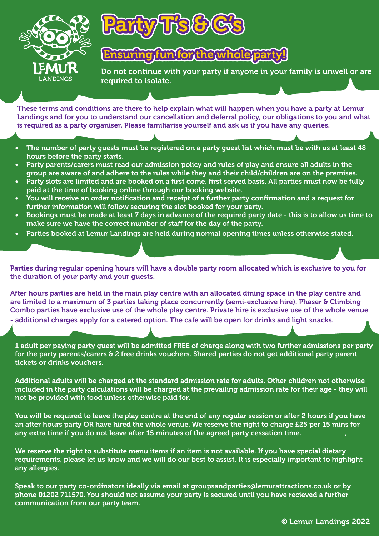



## Ensuring fun for the whole party!

Do not continue with your party if anyone in your family is unwell or are required to isolate.

These terms and conditions are there to help explain what will happen when you have a party at Lemur Landings and for you to understand our cancellation and deferral policy, our obligations to you and what is required as a party organiser. Please familiarise yourself and ask us if you have any queries.

- The number of party guests must be registered on a party guest list which must be with us at least 48 hours before the party starts.
- Party parents/carers must read our admission policy and rules of play and ensure all adults in the group are aware of and adhere to the rules while they and their child/children are on the premises.
- Party slots are limited and are booked on a first come, first served basis. All parties must now be fully paid at the time of booking online through our booking website.
- You will receive an order notification and receipt of a further party confirmation and a request for further information will follow securing the slot booked for your party.
- Bookings must be made at least 7 days in advance of the required party date this is to allow us time to make sure we have the correct number of staff for the day of the party.
- Parties booked at Lemur Landings are held during normal opening times unless otherwise stated.

Parties during regular opening hours will have a double party room allocated which is exclusive to you for the duration of your party and your guests.

After hours parties are held in the main play centre with an allocated dining space in the play centre and are limited to a maximum of 3 parties taking place concurrently (semi-exclusive hire). Phaser & Climbing Combo parties have exclusive use of the whole play centre. Private hire is exclusive use of the whole venue - additional charges apply for a catered option. The cafe will be open for drinks and light snacks.

1 adult per paying party guest will be admitted FREE of charge along with two further admissions per party for the party parents/carers & 2 free drinks vouchers. Shared parties do not get additional party parent tickets or drinks vouchers.

Additional adults will be charged at the standard admission rate for adults. Other children not otherwise included in the party calculations will be charged at the prevailing admission rate for their age - they will not be provided with food unless otherwise paid for.

You will be required to leave the play centre at the end of any regular session or after 2 hours if you have an after hours party OR have hired the whole venue. We reserve the right to charge £25 per 15 mins for any extra time if you do not leave after 15 minutes of the agreed party cessation time.

We reserve the right to substitute menu items if an item is not available. If you have special dietary requirements, please let us know and we will do our best to assist. It is especially important to highlight any allergies.

Speak to our party co-ordinators ideally via email at groupsandparties@lemurattractions.co.uk or by phone 01202 711570. You should not assume your party is secured until you have recieved a further communication from our party team.